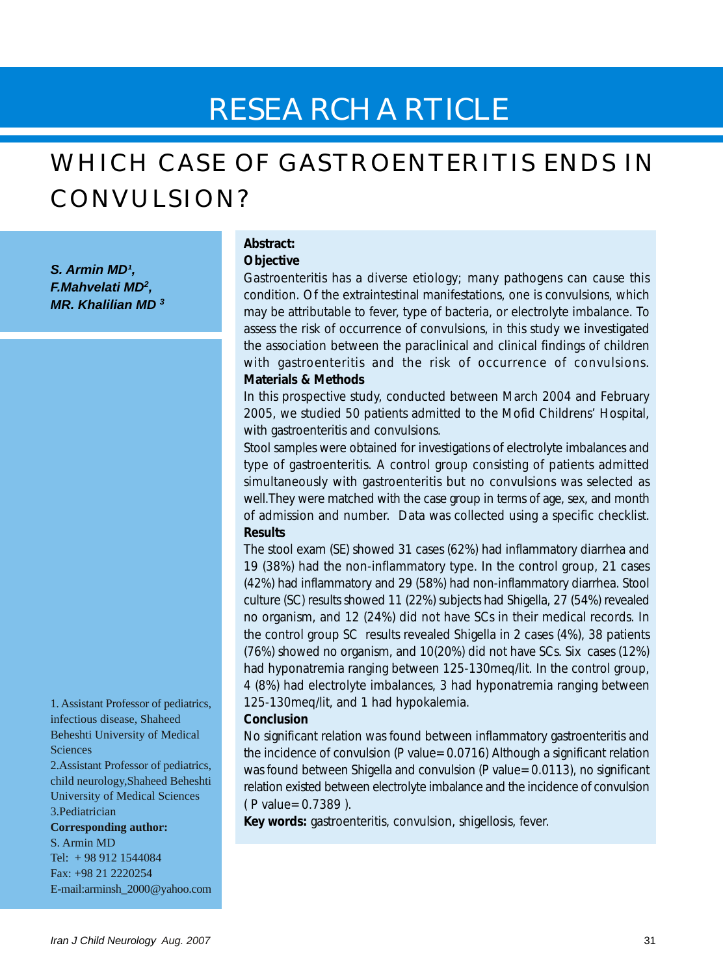# RESEARCH ARTICLE

# WHICH CASE OF GASTROENTERITIS ENDS IN CONVULSION?

*S. Armin MD¹, F.Mahvelati MD<sup>2</sup> , MR. Khalilian MD 3*

1. Assistant Professor of pediatrics, infectious disease, Shaheed Beheshti University of Medical Sciences 2.Assistant Professor of pediatrics, child neurology,Shaheed Beheshti University of Medical Sciences

3.Pediatrician

**Corresponding author:**

S. Armin MD Tel: + 98 912 1544084 Fax: +98 21 2220254 E-mail:arminsh\_2000@yahoo.com

# **Abstract: Objective**

Gastroenteritis has a diverse etiology; many pathogens can cause this condition. Of the extraintestinal manifestations, one is convulsions, which may be attributable to fever, type of bacteria, or electrolyte imbalance. To assess the risk of occurrence of convulsions, in this study we investigated the association between the paraclinical and clinical findings of children with gastroenteritis and the risk of occurrence of convulsions. **Materials & Methods**

In this prospective study, conducted between March 2004 and February 2005, we studied 50 patients admitted to the Mofid Childrens' Hospital, with gastroenteritis and convulsions.

Stool samples were obtained for investigations of electrolyte imbalances and type of gastroenteritis. A control group consisting of patients admitted simultaneously with gastroenteritis but no convulsions was selected as well.They were matched with the case group in terms of age, sex, and month of admission and number. Data was collected using a specific checklist. **Results**

The stool exam (SE) showed 31 cases (62%) had inflammatory diarrhea and 19 (38%) had the non-inflammatory type. In the control group, 21 cases (42%) had inflammatory and 29 (58%) had non-inflammatory diarrhea. Stool culture (SC) results showed 11 (22%) subjects had Shigella, 27 (54%) revealed no organism, and 12 (24%) did not have SCs in their medical records. In the control group SC results revealed Shigella in 2 cases (4%), 38 patients (76%) showed no organism, and 10(20%) did not have SCs. Six cases (12%) had hyponatremia ranging between 125-130meq/lit. In the control group, 4 (8%) had electrolyte imbalances, 3 had hyponatremia ranging between 125-130meq/lit, and 1 had hypokalemia.

## **Conclusion**

No significant relation was found between inflammatory gastroenteritis and the incidence of convulsion (P value=0.0716) Although a significant relation was found between Shigella and convulsion (P value=0.0113), no significant relation existed between electrolyte imbalance and the incidence of convulsion ( P value=0.7389 ).

**Key words:** gastroenteritis, convulsion, shigellosis, fever.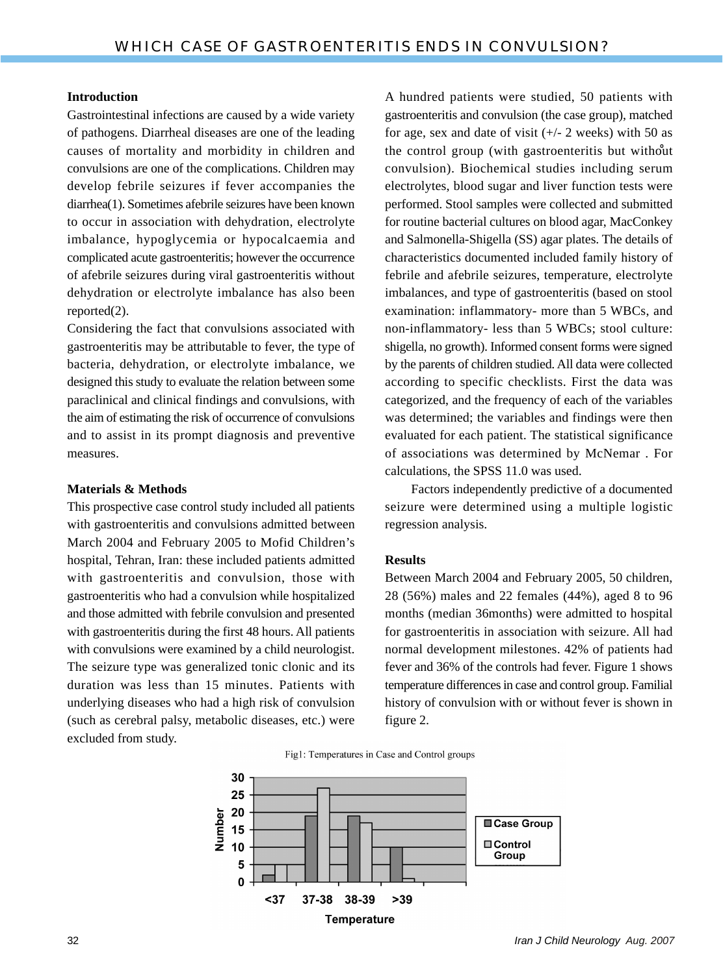#### **Introduction**

Gastrointestinal infections are caused by a wide variety of pathogens. Diarrheal diseases are one of the leading causes of mortality and morbidity in children and convulsions are one of the complications. Children may develop febrile seizures if fever accompanies the diarrhea(1). Sometimes afebrile seizures have been known to occur in association with dehydration, electrolyte imbalance, hypoglycemia or hypocalcaemia and complicated acute gastroenteritis; however the occurrence of afebrile seizures during viral gastroenteritis without dehydration or electrolyte imbalance has also been reported(2).

Considering the fact that convulsions associated with gastroenteritis may be attributable to fever, the type of bacteria, dehydration, or electrolyte imbalance, we designed this study to evaluate the relation between some paraclinical and clinical findings and convulsions, with the aim of estimating the risk of occurrence of convulsions and to assist in its prompt diagnosis and preventive measures.

#### **Materials & Methods**

This prospective case control study included all patients with gastroenteritis and convulsions admitted between March 2004 and February 2005 to Mofid Children's hospital, Tehran, Iran: these included patients admitted with gastroenteritis and convulsion, those with gastroenteritis who had a convulsion while hospitalized and those admitted with febrile convulsion and presented with gastroenteritis during the first 48 hours. All patients with convulsions were examined by a child neurologist. The seizure type was generalized tonic clonic and its duration was less than 15 minutes. Patients with underlying diseases who had a high risk of convulsion (such as cerebral palsy, metabolic diseases, etc.) were excluded from study.

A hundred patients were studied, 50 patients with gastroenteritis and convulsion (the case group), matched for age, sex and date of visit  $(+/- 2$  weeks) with 50 as the control group (with gastroenteritis but without convulsion). Biochemical studies including serum electrolytes, blood sugar and liver function tests were performed. Stool samples were collected and submitted for routine bacterial cultures on blood agar, MacConkey and Salmonella-Shigella (SS) agar plates. The details of characteristics documented included family history of febrile and afebrile seizures, temperature, electrolyte imbalances, and type of gastroenteritis (based on stool examination: inflammatory- more than 5 WBCs, and non-inflammatory- less than 5 WBCs; stool culture: shigella, no growth). Informed consent forms were signed by the parents of children studied. All data were collected according to specific checklists. First the data was categorized, and the frequency of each of the variables was determined; the variables and findings were then evaluated for each patient. The statistical significance of associations was determined by McNemar . For calculations, the SPSS 11.0 was used.

 Factors independently predictive of a documented seizure were determined using a multiple logistic regression analysis.

#### **Results**

Between March 2004 and February 2005, 50 children, 28 (56%) males and 22 females (44%), aged 8 to 96 months (median 36months) were admitted to hospital for gastroenteritis in association with seizure. All had normal development milestones. 42% of patients had fever and 36% of the controls had fever. Figure 1 shows temperature differences in case and control group. Familial history of convulsion with or without fever is shown in figure 2.

Fig1: Temperatures in Case and Control groups

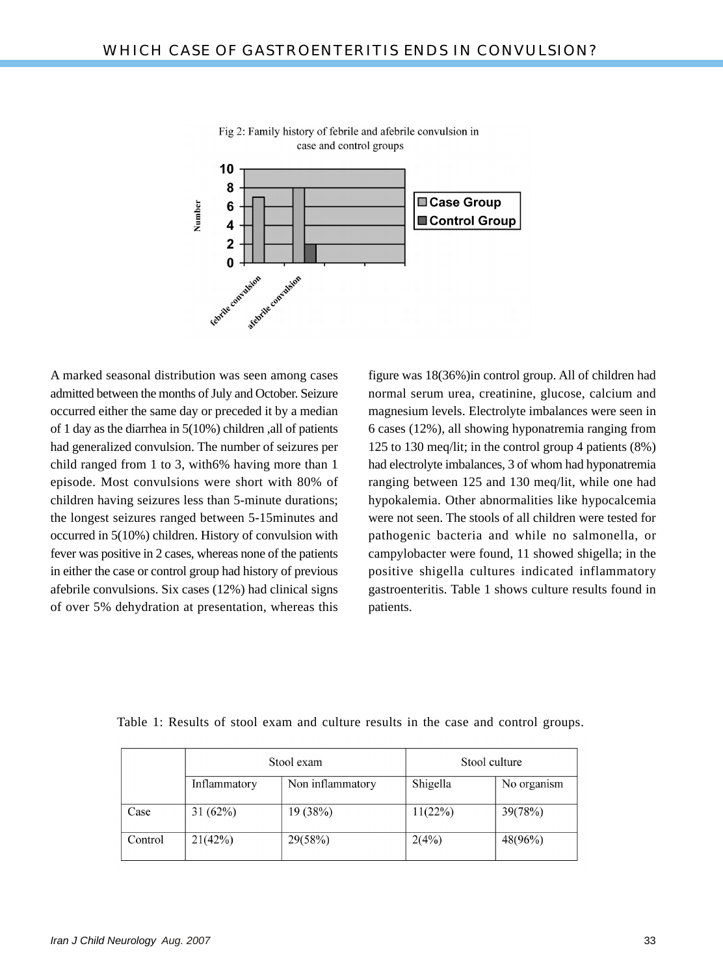

Fig 2: Family history of febrile and afebrile convulsion in case and control groups

A marked seasonal distribution was seen among cases admitted between the months of July and October. Seizure occurred either the same day or preceded it by a median of 1 day as the diarrhea in 5(10%) children ,all of patients had generalized convulsion. The number of seizures per child ranged from 1 to 3, with6% having more than 1 episode. Most convulsions were short with 80% of children having seizures less than 5-minute durations; the longest seizures ranged between 5-15minutes and occurred in 5(10%) children. History of convulsion with fever was positive in 2 cases, whereas none of the patients in either the case or control group had history of previous afebrile convulsions. Six cases (12%) had clinical signs of over 5% dehydration at presentation, whereas this figure was 18(36%)in control group. All of children had normal serum urea, creatinine, glucose, calcium and magnesium levels. Electrolyte imbalances were seen in 6 cases (12%), all showing hyponatremia ranging from 125 to 130 meq/lit; in the control group 4 patients (8%) had electrolyte imbalances, 3 of whom had hyponatremia ranging between 125 and 130 meq/lit, while one had hypokalemia. Other abnormalities like hypocalcemia were not seen. The stools of all children were tested for pathogenic bacteria and while no salmonella, or campylobacter were found, 11 showed shigella; in the positive shigella cultures indicated inflammatory gastroenteritis. Table 1 shows culture results found in patients.

|         | Stool exam   |                  | Stool culture |             |
|---------|--------------|------------------|---------------|-------------|
|         | Inflammatory | Non inflammatory | Shigella      | No organism |
| Case    | 31(62%)      | 19 (38%)         | 11(22%)       | 39(78%)     |
| Control | 21(42%)      | 29(58%)          | 2(4%)         | 48(96%)     |

Table 1: Results of stool exam and culture results in the case and control groups.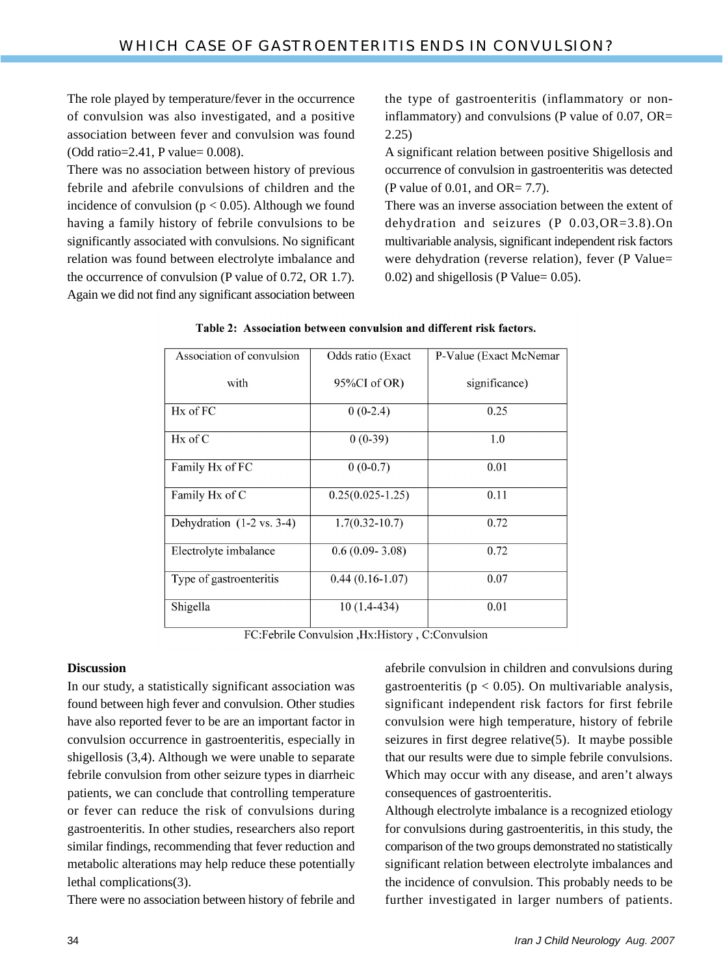The role played by temperature/fever in the occurrence of convulsion was also investigated, and a positive association between fever and convulsion was found (Odd ratio=2.41, P value= 0.008).

There was no association between history of previous febrile and afebrile convulsions of children and the incidence of convulsion ( $p < 0.05$ ). Although we found having a family history of febrile convulsions to be significantly associated with convulsions. No significant relation was found between electrolyte imbalance and the occurrence of convulsion (P value of 0.72, OR 1.7). Again we did not find any significant association between the type of gastroenteritis (inflammatory or noninflammatory) and convulsions (P value of  $0.07$ , OR= 2.25)

A significant relation between positive Shigellosis and occurrence of convulsion in gastroenteritis was detected (P value of 0.01, and OR= 7.7).

There was an inverse association between the extent of dehydration and seizures (P 0.03,OR=3.8).On multivariable analysis, significant independent risk factors were dehydration (reverse relation), fever (P Value= 0.02) and shigellosis (P Value= 0.05).

| Association of convulsion            | Odds ratio (Exact    | P-Value (Exact McNemar |  |
|--------------------------------------|----------------------|------------------------|--|
|                                      |                      |                        |  |
| with                                 | 95%CI of OR)         | significance)          |  |
|                                      |                      |                        |  |
| $Hx$ of $FC$                         | $0(0-2.4)$           | 0.25                   |  |
| $Hx$ of $C$                          | $0(0-39)$            | 1.0                    |  |
| Family Hx of FC                      | $0(0-0.7)$           | 0.01                   |  |
| Family Hx of C                       | $0.25(0.025 - 1.25)$ | 0.11                   |  |
| Dehydration $(1-2 \text{ vs. } 3-4)$ | $1.7(0.32 - 10.7)$   | 0.72                   |  |
| Electrolyte imbalance                | $0.6(0.09 - 3.08)$   | 0.72                   |  |
| Type of gastroenteritis              | $0.44(0.16-1.07)$    | 0.07                   |  |
| Shigella                             | $10(1.4-434)$        | 0.01                   |  |

Table 2: Association between convulsion and different risk factors.

FC:Febrile Convulsion , Hx:History , C:Convulsion

## **Discussion**

In our study, a statistically significant association was found between high fever and convulsion. Other studies have also reported fever to be are an important factor in convulsion occurrence in gastroenteritis, especially in shigellosis (3,4). Although we were unable to separate febrile convulsion from other seizure types in diarrheic patients, we can conclude that controlling temperature or fever can reduce the risk of convulsions during gastroenteritis. In other studies, researchers also report similar findings, recommending that fever reduction and metabolic alterations may help reduce these potentially lethal complications(3).

There were no association between history of febrile and

afebrile convulsion in children and convulsions during gastroenteritis ( $p < 0.05$ ). On multivariable analysis, significant independent risk factors for first febrile convulsion were high temperature, history of febrile seizures in first degree relative(5). It maybe possible that our results were due to simple febrile convulsions. Which may occur with any disease, and aren't always consequences of gastroenteritis.

Although electrolyte imbalance is a recognized etiology for convulsions during gastroenteritis, in this study, the comparison of the two groups demonstrated no statistically significant relation between electrolyte imbalances and the incidence of convulsion. This probably needs to be further investigated in larger numbers of patients.